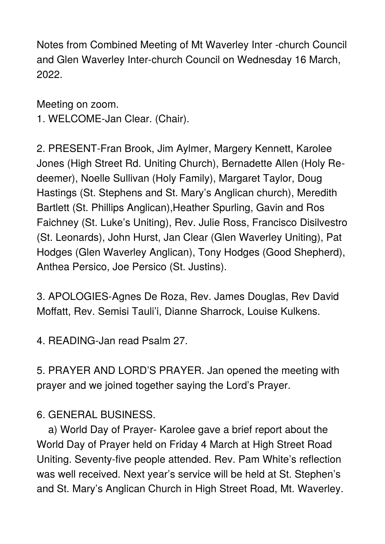Notes from Combined Meeting of Mt Waverley Inter -church Council and Glen Waverley Inter-church Council on Wednesday 16 March, 2022.

Meeting on zoom. 1. WELCOME-Jan Clear. (Chair).

2. PRESENT-Fran Brook, Jim Aylmer, Margery Kennett, Karolee Jones (High Street Rd. Uniting Church), Bernadette Allen (Holy Redeemer), Noelle Sullivan (Holy Family), Margaret Taylor, Doug Hastings (St. Stephens and St. Mary's Anglican church), Meredith Bartlett (St. Phillips Anglican),Heather Spurling, Gavin and Ros Faichney (St. Luke's Uniting), Rev. Julie Ross, Francisco Disilvestro (St. Leonards), John Hurst, Jan Clear (Glen Waverley Uniting), Pat Hodges (Glen Waverley Anglican), Tony Hodges (Good Shepherd), Anthea Persico, Joe Persico (St. Justins).

3. APOLOGIES-Agnes De Roza, Rev. James Douglas, Rev David Moffatt, Rev. Semisi Tauli'i, Dianne Sharrock, Louise Kulkens.

4. READING-Jan read Psalm 27.

5. PRAYER AND LORD'S PRAYER. Jan opened the meeting with prayer and we joined together saying the Lord's Prayer.

6. GENERAL BUSINESS.

 a) World Day of Prayer- Karolee gave a brief report about the World Day of Prayer held on Friday 4 March at High Street Road Uniting. Seventy-five people attended. Rev. Pam White's reflection was well received. Next year's service will be held at St. Stephen's and St. Mary's Anglican Church in High Street Road, Mt. Waverley.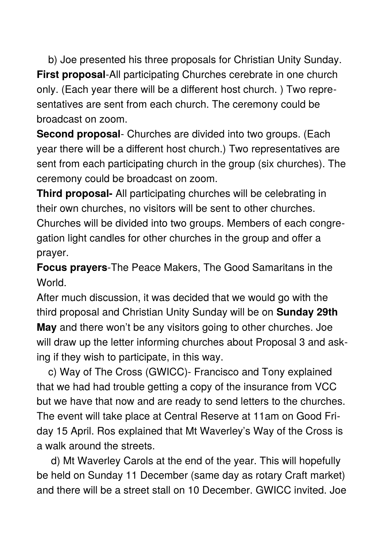b) Joe presented his three proposals for Christian Unity Sunday. **First proposal**-All participating Churches cerebrate in one church only. (Each year there will be a different host church. ) Two representatives are sent from each church. The ceremony could be broadcast on zoom.

**Second proposal**- Churches are divided into two groups. (Each year there will be a different host church.) Two representatives are sent from each participating church in the group (six churches). The ceremony could be broadcast on zoom.

**Third proposal-** All participating churches will be celebrating in their own churches, no visitors will be sent to other churches. Churches will be divided into two groups. Members of each congregation light candles for other churches in the group and offer a prayer.

**Focus prayers**-The Peace Makers, The Good Samaritans in the World.

After much discussion, it was decided that we would go with the third proposal and Christian Unity Sunday will be on **Sunday 29th May** and there won't be any visitors going to other churches. Joe will draw up the letter informing churches about Proposal 3 and asking if they wish to participate, in this way.

 c) Way of The Cross (GWICC)- Francisco and Tony explained that we had had trouble getting a copy of the insurance from VCC but we have that now and are ready to send letters to the churches. The event will take place at Central Reserve at 11am on Good Friday 15 April. Ros explained that Mt Waverley's Way of the Cross is a walk around the streets.

 d) Mt Waverley Carols at the end of the year. This will hopefully be held on Sunday 11 December (same day as rotary Craft market) and there will be a street stall on 10 December. GWICC invited. Joe